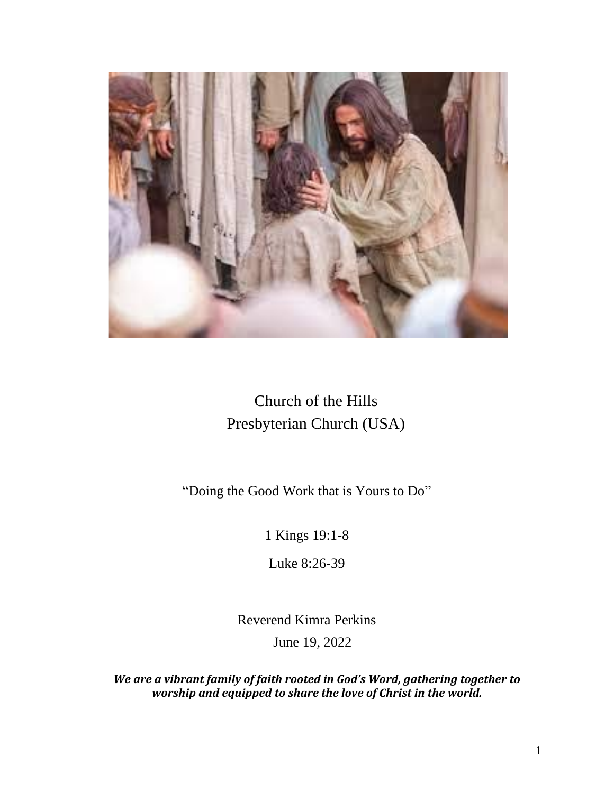

# Church of the Hills Presbyterian Church (USA)

"Doing the Good Work that is Yours to Do"

1 Kings 19:1-8

Luke 8:26-39

Reverend Kimra Perkins June 19, 2022

*We are a vibrant family of faith rooted in God's Word, gathering together to worship and equipped to share the love of Christ in the world.*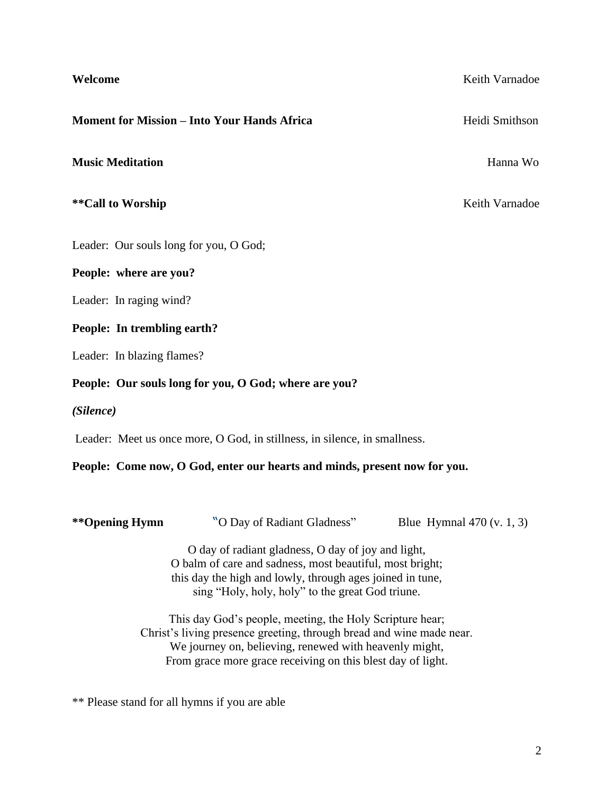2

#### **Welcome** Keith Varnadoe

**Moment for Mission – Into Your Hands Africa** Heidi Smithson

**Music Meditation Hanna Wood Community Community Community Community Community Community Community Community Community Community Community Community Community Community Community Community Community Community Community C** 

**\*\*Call to Worship**  Keith Varnadoe

Leader: Our souls long for you, O God;

# **People: where are you?**

Leader: In raging wind?

# **People: In trembling earth?**

Leader: In blazing flames?

## **People: Our souls long for you, O God; where are you?**

*(Silence)*

Leader: Meet us once more, O God, in stillness, in silence, in smallness.

## **People: Come now, O God, enter our hearts and minds, present now for you.**

**\*\*Opening Hymn** "O Day of Radiant Gladness" Blue Hymnal 470 (v. 1, 3)

O day of radiant gladness, O day of joy and light, O balm of care and sadness, most beautiful, most bright; this day the high and lowly, through ages joined in tune, sing "Holy, holy, holy" to the great God triune.

This day God's people, meeting, the Holy Scripture hear; Christ's living presence greeting, through bread and wine made near. We journey on, believing, renewed with heavenly might, From grace more grace receiving on this blest day of light.

\*\* Please stand for all hymns if you are able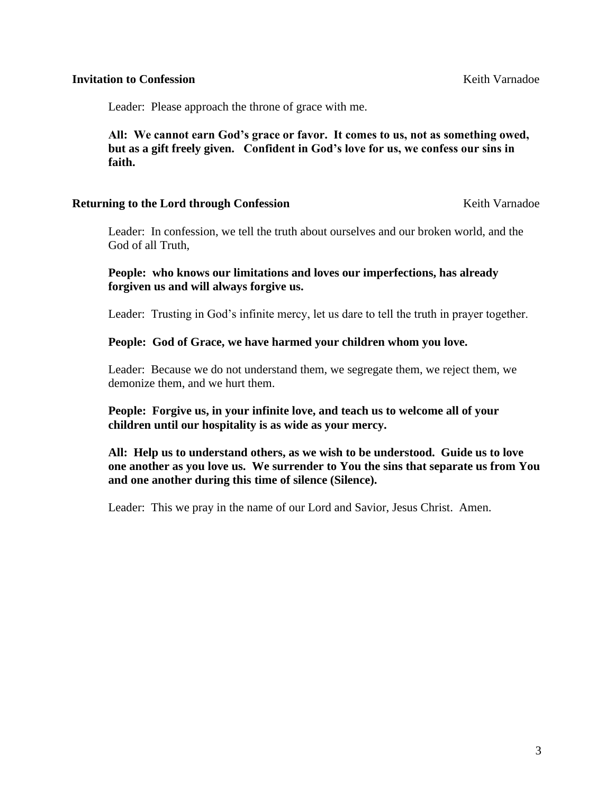#### **Invitation to Confession Confession Confession Confession Confession Confession Confession Confession**

Leader: Please approach the throne of grace with me.

**All: We cannot earn God's grace or favor. It comes to us, not as something owed, but as a gift freely given. Confident in God's love for us, we confess our sins in faith.** 

#### **Returning to the Lord through Confession** Keith Varnadoe

Leader: In confession, we tell the truth about ourselves and our broken world, and the God of all Truth,

#### **People: who knows our limitations and loves our imperfections, has already forgiven us and will always forgive us.**

Leader: Trusting in God's infinite mercy, let us dare to tell the truth in prayer together.

#### **People: God of Grace, we have harmed your children whom you love.**

Leader: Because we do not understand them, we segregate them, we reject them, we demonize them, and we hurt them.

**People: Forgive us, in your infinite love, and teach us to welcome all of your children until our hospitality is as wide as your mercy.** 

**All: Help us to understand others, as we wish to be understood. Guide us to love one another as you love us. We surrender to You the sins that separate us from You and one another during this time of silence (Silence).** 

Leader: This we pray in the name of our Lord and Savior, Jesus Christ. Amen.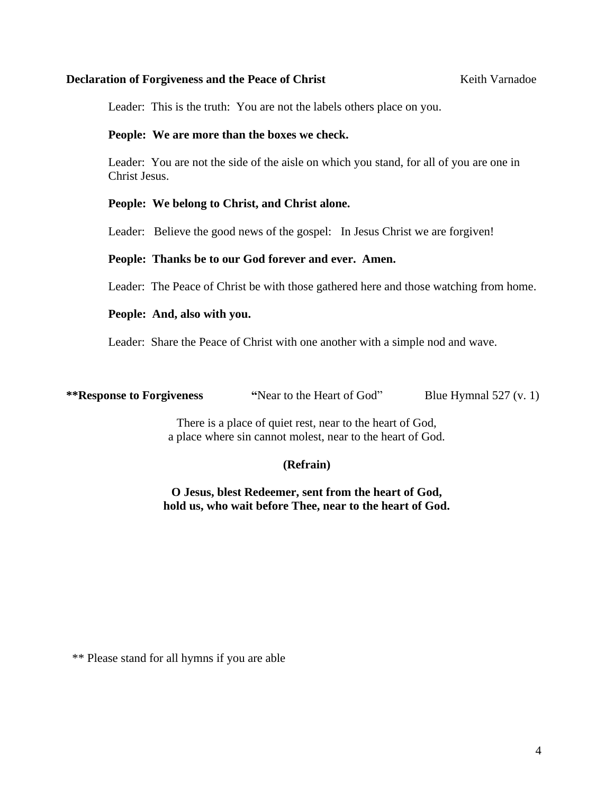#### **Declaration of Forgiveness and the Peace of Christ** Keith Varnadoe

Leader: This is the truth: You are not the labels others place on you.

#### **People: We are more than the boxes we check.**

Leader: You are not the side of the aisle on which you stand, for all of you are one in Christ Jesus.

## **People: We belong to Christ, and Christ alone.**

Leader: Believe the good news of the gospel: In Jesus Christ we are forgiven!

#### **People: Thanks be to our God forever and ever. Amen.**

Leader: The Peace of Christ be with those gathered here and those watching from home.

#### **People: And, also with you.**

Leader: Share the Peace of Christ with one another with a simple nod and wave.

| <b>**Response to Forgiveness</b> | "Near to the Heart of God" | Blue Hymnal $527$ (v. 1) |
|----------------------------------|----------------------------|--------------------------|
|----------------------------------|----------------------------|--------------------------|

There is a place of quiet rest, near to the heart of God, a place where sin cannot molest, near to the heart of God.

## **(Refrain)**

**O Jesus, blest Redeemer, sent from the heart of God, hold us, who wait before Thee, near to the heart of God.** 

\*\* Please stand for all hymns if you are able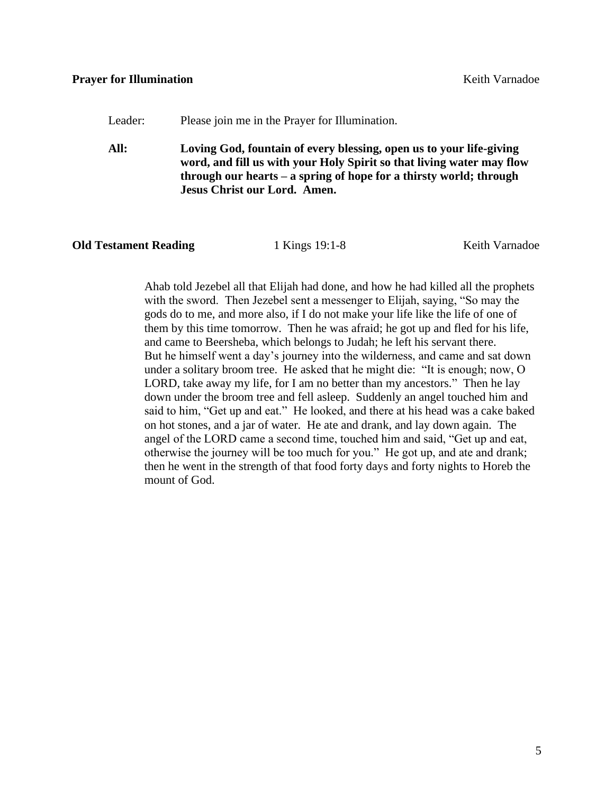| Leader: |  |  |  | Please join me in the Prayer for Illumination. |
|---------|--|--|--|------------------------------------------------|
|---------|--|--|--|------------------------------------------------|

**All: Loving God, fountain of every blessing, open us to your life-giving word, and fill us with your Holy Spirit so that living water may flow through our hearts – a spring of hope for a thirsty world; through Jesus Christ our Lord. Amen.** 

#### **Old Testament Reading 1 Kings 19:1-8** Keith Varnadoe

Ahab told Jezebel all that Elijah had done, and how he had killed all the prophets with the sword. Then Jezebel sent a messenger to Elijah, saying, "So may the gods do to me, and more also, if I do not make your life like the life of one of them by this time tomorrow. Then he was afraid; he got up and fled for his life, and came to Beersheba, which belongs to Judah; he left his servant there. But he himself went a day's journey into the wilderness, and came and sat down under a solitary broom tree. He asked that he might die: "It is enough; now, O LORD, take away my life, for I am no better than my ancestors." Then he lay down under the broom tree and fell asleep. Suddenly an angel touched him and said to him, "Get up and eat." He looked, and there at his head was a cake baked on hot stones, and a jar of water. He ate and drank, and lay down again. The angel of the LORD came a second time, touched him and said, "Get up and eat, otherwise the journey will be too much for you." He got up, and ate and drank; then he went in the strength of that food forty days and forty nights to Horeb the mount of God.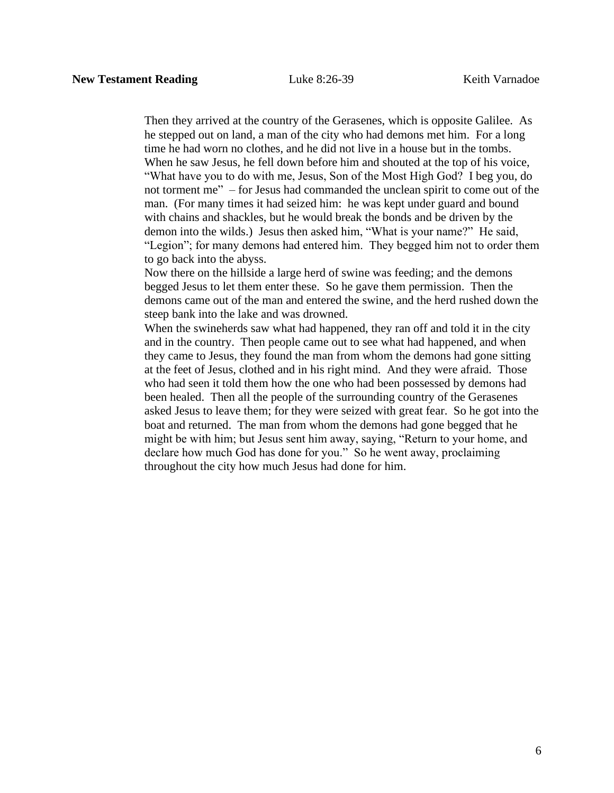Then they arrived at the country of the Gerasenes, which is opposite Galilee. As he stepped out on land, a man of the city who had demons met him. For a long time he had worn no clothes, and he did not live in a house but in the tombs. When he saw Jesus, he fell down before him and shouted at the top of his voice, "What have you to do with me, Jesus, Son of the Most High God? I beg you, do not torment me" – for Jesus had commanded the unclean spirit to come out of the man. (For many times it had seized him: he was kept under guard and bound with chains and shackles, but he would break the bonds and be driven by the demon into the wilds.) Jesus then asked him, "What is your name?" He said, "Legion"; for many demons had entered him. They begged him not to order them to go back into the abyss.

Now there on the hillside a large herd of swine was feeding; and the demons begged Jesus to let them enter these. So he gave them permission. Then the demons came out of the man and entered the swine, and the herd rushed down the steep bank into the lake and was drowned.

When the swineherds saw what had happened, they ran off and told it in the city and in the country. Then people came out to see what had happened, and when they came to Jesus, they found the man from whom the demons had gone sitting at the feet of Jesus, clothed and in his right mind. And they were afraid. Those who had seen it told them how the one who had been possessed by demons had been healed. Then all the people of the surrounding country of the Gerasenes asked Jesus to leave them; for they were seized with great fear. So he got into the boat and returned. The man from whom the demons had gone begged that he might be with him; but Jesus sent him away, saying, "Return to your home, and declare how much God has done for you." So he went away, proclaiming throughout the city how much Jesus had done for him.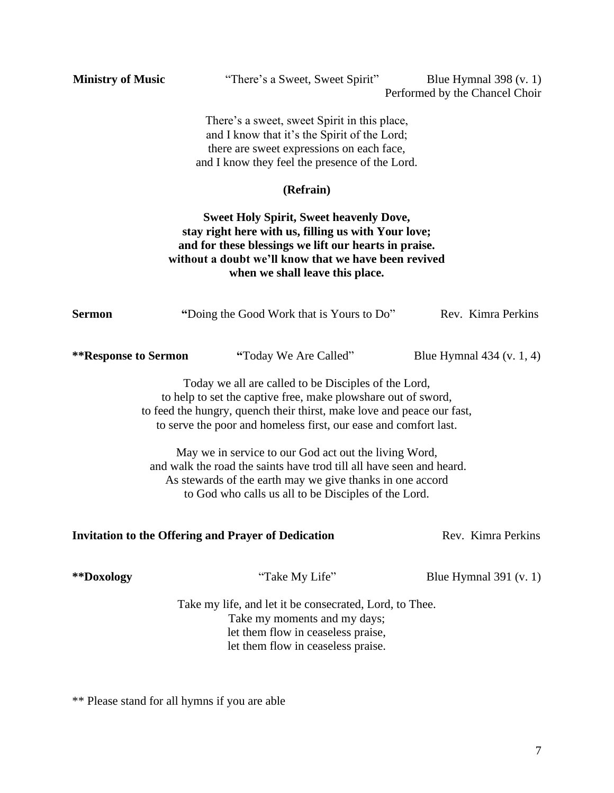**Ministry of Music** "There's a Sweet, Sweet Spirit" Blue Hymnal 398 (v. 1) Performed by the Chancel Choir

> There's a sweet, sweet Spirit in this place, and I know that it's the Spirit of the Lord; there are sweet expressions on each face, and I know they feel the presence of the Lord.

#### **(Refrain)**

#### **Sweet Holy Spirit, Sweet heavenly Dove, stay right here with us, filling us with Your love; and for these blessings we lift our hearts in praise. without a doubt we'll know that we have been revived when we shall leave this place.**

| <b>Sermon</b>               | "Doing the Good Work that is Yours to Do" |                                                                                                                                                                                                                                                                     | Rev. Kimra Perkins          |  |
|-----------------------------|-------------------------------------------|---------------------------------------------------------------------------------------------------------------------------------------------------------------------------------------------------------------------------------------------------------------------|-----------------------------|--|
| <b>**Response to Sermon</b> |                                           | "Today We Are Called"                                                                                                                                                                                                                                               | Blue Hymnal $434$ (v. 1, 4) |  |
|                             |                                           | Today we all are called to be Disciples of the Lord,<br>to help to set the captive free, make plowshare out of sword,<br>to feed the hungry, quench their thirst, make love and peace our fast,<br>to serve the poor and homeless first, our ease and comfort last. |                             |  |
|                             |                                           | May we in service to our God act out the living Word,<br>and walk the road the saints have trod till all have seen and heard.<br>As stewards of the earth may we give thanks in one accord<br>to God who calls us all to be Disciples of the Lord.                  |                             |  |
|                             |                                           | <b>Invitation to the Offering and Prayer of Dedication</b>                                                                                                                                                                                                          | Rev. Kimra Perkins          |  |
| **Doxology                  |                                           | "Take My Life"                                                                                                                                                                                                                                                      | Blue Hymnal $391$ (v. 1)    |  |
|                             |                                           | Take my life, and let it be consecrated, Lord, to Thee.<br>Take my moments and my days;<br>let them flow in ceaseless praise,<br>let them flow in ceaseless praise.                                                                                                 |                             |  |

\*\* Please stand for all hymns if you are able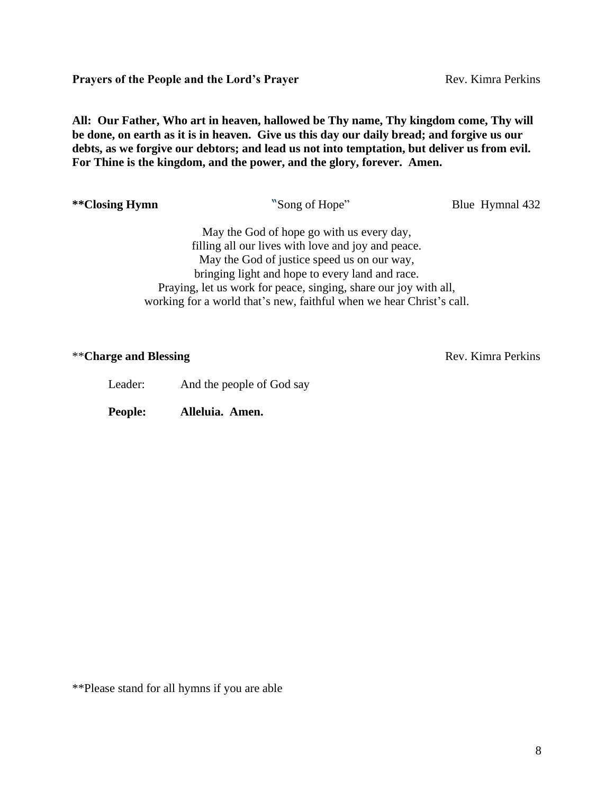**Prayers of the People and the Lord's Prayer** Rev. Kimra Perkins

**All: Our Father, Who art in heaven, hallowed be Thy name, Thy kingdom come, Thy will be done, on earth as it is in heaven. Give us this day our daily bread; and forgive us our debts, as we forgive our debtors; and lead us not into temptation, but deliver us from evil. For Thine is the kingdom, and the power, and the glory, forever. Amen.** 

**\*\*Closing Hymn** "Song of Hope" Blue Hymnal 432

May the God of hope go with us every day, filling all our lives with love and joy and peace. May the God of justice speed us on our way, bringing light and hope to every land and race. Praying, let us work for peace, singing, share our joy with all, working for a world that's new, faithful when we hear Christ's call.

#### \*\***Charge and Blessing** Rev. Kimra Perkins

Leader: And the people of God say

**People: Alleluia. Amen.**

\*\*Please stand for all hymns if you are able

8